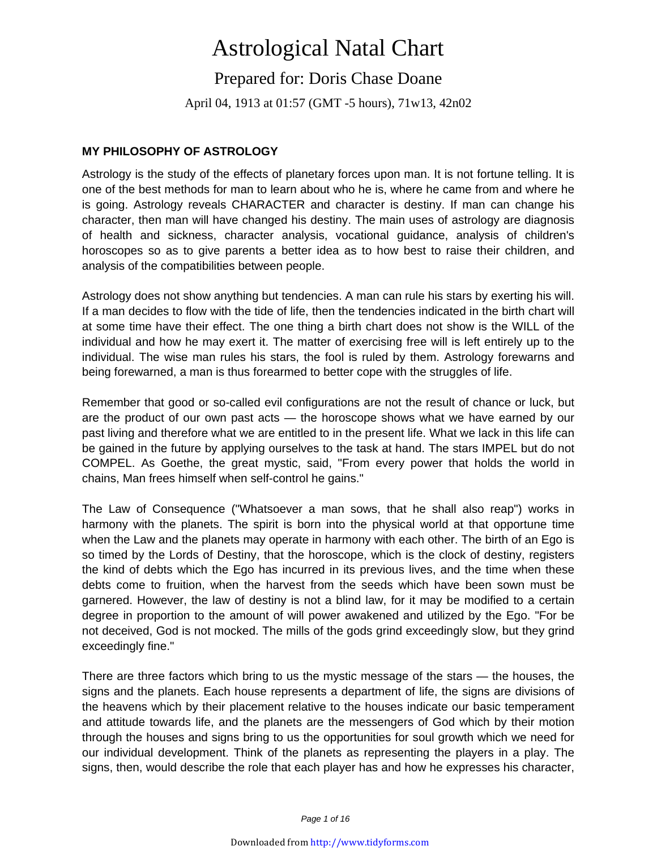# Astrological Natal Chart

Prepared for: Doris Chase Doane

April 04, 1913 at 01:57 (GMT -5 hours), 71w13, 42n02

### **MY PHILOSOPHY OF ASTROLOGY**

Astrology is the study of the effects of planetary forces upon man. It is not fortune telling. It is one of the best methods for man to learn about who he is, where he came from and where he is going. Astrology reveals CHARACTER and character is destiny. If man can change his character, then man will have changed his destiny. The main uses of astrology are diagnosis of health and sickness, character analysis, vocational guidance, analysis of children's horoscopes so as to give parents a better idea as to how best to raise their children, and analysis of the compatibilities between people.

Astrology does not show anything but tendencies. A man can rule his stars by exerting his will. If a man decides to flow with the tide of life, then the tendencies indicated in the birth chart will at some time have their effect. The one thing a birth chart does not show is the WILL of the individual and how he may exert it. The matter of exercising free will is left entirely up to the individual. The wise man rules his stars, the fool is ruled by them. Astrology forewarns and being forewarned, a man is thus forearmed to better cope with the struggles of life.

Remember that good or so-called evil configurations are not the result of chance or luck, but are the product of our own past acts — the horoscope shows what we have earned by our past living and therefore what we are entitled to in the present life. What we lack in this life can be gained in the future by applying ourselves to the task at hand. The stars IMPEL but do not COMPEL. As Goethe, the great mystic, said, "From every power that holds the world in chains, Man frees himself when self-control he gains."

The Law of Consequence ("Whatsoever a man sows, that he shall also reap") works in harmony with the planets. The spirit is born into the physical world at that opportune time when the Law and the planets may operate in harmony with each other. The birth of an Ego is so timed by the Lords of Destiny, that the horoscope, which is the clock of destiny, registers the kind of debts which the Ego has incurred in its previous lives, and the time when these debts come to fruition, when the harvest from the seeds which have been sown must be garnered. However, the law of destiny is not a blind law, for it may be modified to a certain degree in proportion to the amount of will power awakened and utilized by the Ego. "For be not deceived, God is not mocked. The mills of the gods grind exceedingly slow, but they grind exceedingly fine."

There are three factors which bring to us the mystic message of the stars — the houses, the signs and the planets. Each house represents a department of life, the signs are divisions of the heavens which by their placement relative to the houses indicate our basic temperament and attitude towards life, and the planets are the messengers of God which by their motion through the houses and signs bring to us the opportunities for soul growth which we need for our individual development. Think of the planets as representing the players in a play. The signs, then, would describe the role that each player has and how he expresses his character,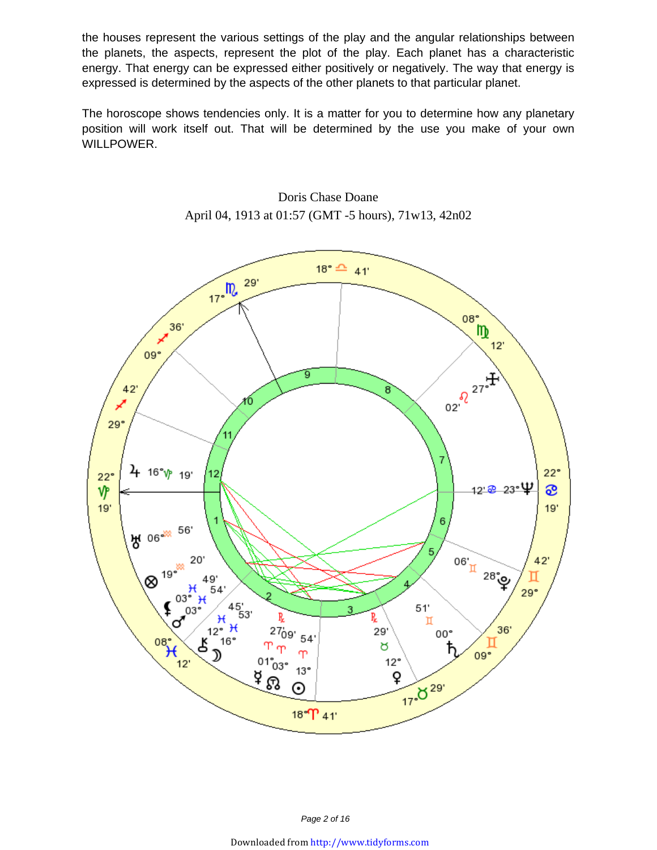the houses represent the various settings of the play and the angular relationships between the planets, the aspects, represent the plot of the play. Each planet has a characteristic energy. That energy can be expressed either positively or negatively. The way that energy is expressed is determined by the aspects of the other planets to that particular planet.

The horoscope shows tendencies only. It is a matter for you to determine how any planetary position will work itself out. That will be determined by the use you make of your own WILLPOWER.



Doris Chase Doane April 04, 1913 at 01:57 (GMT -5 hours), 71w13, 42n02

Page 2 of 16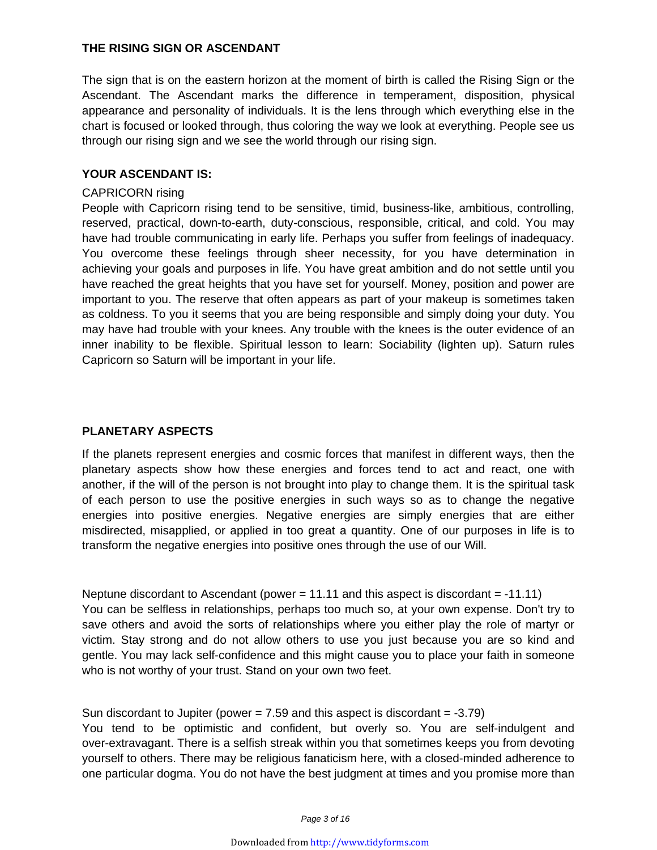#### **THE RISING SIGN OR ASCENDANT**

The sign that is on the eastern horizon at the moment of birth is called the Rising Sign or the Ascendant. The Ascendant marks the difference in temperament, disposition, physical appearance and personality of individuals. It is the lens through which everything else in the chart is focused or looked through, thus coloring the way we look at everything. People see us through our rising sign and we see the world through our rising sign.

#### **YOUR ASCENDANT IS:**

#### CAPRICORN rising

People with Capricorn rising tend to be sensitive, timid, business-like, ambitious, controlling, reserved, practical, down-to-earth, duty-conscious, responsible, critical, and cold. You may have had trouble communicating in early life. Perhaps you suffer from feelings of inadequacy. You overcome these feelings through sheer necessity, for you have determination in achieving your goals and purposes in life. You have great ambition and do not settle until you have reached the great heights that you have set for yourself. Money, position and power are important to you. The reserve that often appears as part of your makeup is sometimes taken as coldness. To you it seems that you are being responsible and simply doing your duty. You may have had trouble with your knees. Any trouble with the knees is the outer evidence of an inner inability to be flexible. Spiritual lesson to learn: Sociability (lighten up). Saturn rules Capricorn so Saturn will be important in your life.

#### **PLANETARY ASPECTS**

If the planets represent energies and cosmic forces that manifest in different ways, then the planetary aspects show how these energies and forces tend to act and react, one with another, if the will of the person is not brought into play to change them. It is the spiritual task of each person to use the positive energies in such ways so as to change the negative energies into positive energies. Negative energies are simply energies that are either misdirected, misapplied, or applied in too great a quantity. One of our purposes in life is to transform the negative energies into positive ones through the use of our Will.

Neptune discordant to Ascendant (power = 11.11 and this aspect is discordant = -11.11) You can be selfless in relationships, perhaps too much so, at your own expense. Don't try to save others and avoid the sorts of relationships where you either play the role of martyr or victim. Stay strong and do not allow others to use you just because you are so kind and gentle. You may lack self-confidence and this might cause you to place your faith in someone who is not worthy of your trust. Stand on your own two feet.

Sun discordant to Jupiter (power  $= 7.59$  and this aspect is discordant  $= -3.79$ ) You tend to be optimistic and confident, but overly so. You are self-indulgent and over-extravagant. There is a selfish streak within you that sometimes keeps you from devoting yourself to others. There may be religious fanaticism here, with a closed-minded adherence to one particular dogma. You do not have the best judgment at times and you promise more than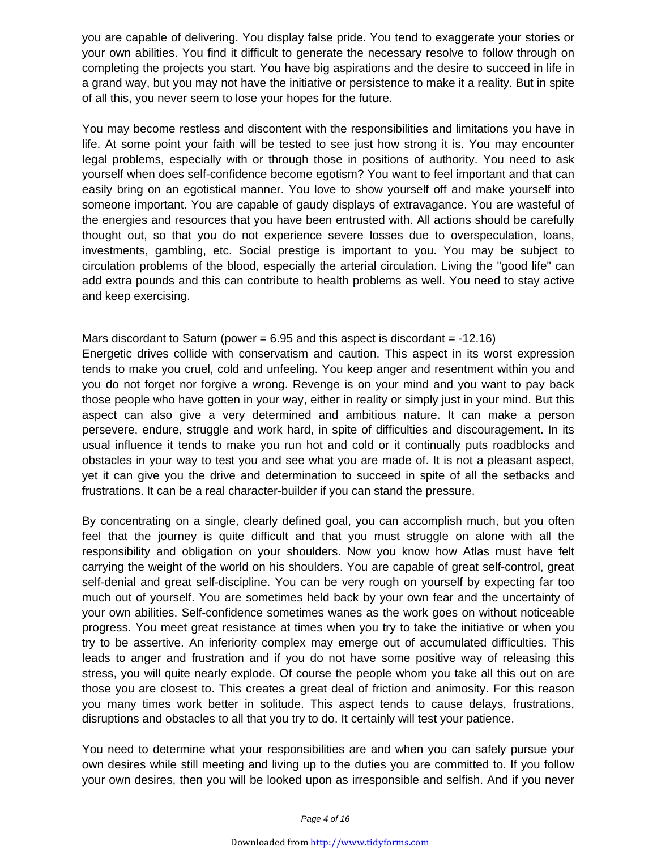you are capable of delivering. You display false pride. You tend to exaggerate your stories or your own abilities. You find it difficult to generate the necessary resolve to follow through on completing the projects you start. You have big aspirations and the desire to succeed in life in a grand way, but you may not have the initiative or persistence to make it a reality. But in spite of all this, you never seem to lose your hopes for the future.

You may become restless and discontent with the responsibilities and limitations you have in life. At some point your faith will be tested to see just how strong it is. You may encounter legal problems, especially with or through those in positions of authority. You need to ask yourself when does self-confidence become egotism? You want to feel important and that can easily bring on an egotistical manner. You love to show yourself off and make yourself into someone important. You are capable of gaudy displays of extravagance. You are wasteful of the energies and resources that you have been entrusted with. All actions should be carefully thought out, so that you do not experience severe losses due to overspeculation, loans, investments, gambling, etc. Social prestige is important to you. You may be subject to circulation problems of the blood, especially the arterial circulation. Living the "good life" can add extra pounds and this can contribute to health problems as well. You need to stay active and keep exercising.

## Mars discordant to Saturn (power  $= 6.95$  and this aspect is discordant  $= -12.16$ ) Energetic drives collide with conservatism and caution. This aspect in its worst expression tends to make you cruel, cold and unfeeling. You keep anger and resentment within you and you do not forget nor forgive a wrong. Revenge is on your mind and you want to pay back those people who have gotten in your way, either in reality or simply just in your mind. But this aspect can also give a very determined and ambitious nature. It can make a person persevere, endure, struggle and work hard, in spite of difficulties and discouragement. In its

usual influence it tends to make you run hot and cold or it continually puts roadblocks and obstacles in your way to test you and see what you are made of. It is not a pleasant aspect, yet it can give you the drive and determination to succeed in spite of all the setbacks and frustrations. It can be a real character-builder if you can stand the pressure.

By concentrating on a single, clearly defined goal, you can accomplish much, but you often feel that the journey is quite difficult and that you must struggle on alone with all the responsibility and obligation on your shoulders. Now you know how Atlas must have felt carrying the weight of the world on his shoulders. You are capable of great self-control, great self-denial and great self-discipline. You can be very rough on yourself by expecting far too much out of yourself. You are sometimes held back by your own fear and the uncertainty of your own abilities. Self-confidence sometimes wanes as the work goes on without noticeable progress. You meet great resistance at times when you try to take the initiative or when you try to be assertive. An inferiority complex may emerge out of accumulated difficulties. This leads to anger and frustration and if you do not have some positive way of releasing this stress, you will quite nearly explode. Of course the people whom you take all this out on are those you are closest to. This creates a great deal of friction and animosity. For this reason you many times work better in solitude. This aspect tends to cause delays, frustrations, disruptions and obstacles to all that you try to do. It certainly will test your patience.

You need to determine what your responsibilities are and when you can safely pursue your own desires while still meeting and living up to the duties you are committed to. If you follow your own desires, then you will be looked upon as irresponsible and selfish. And if you never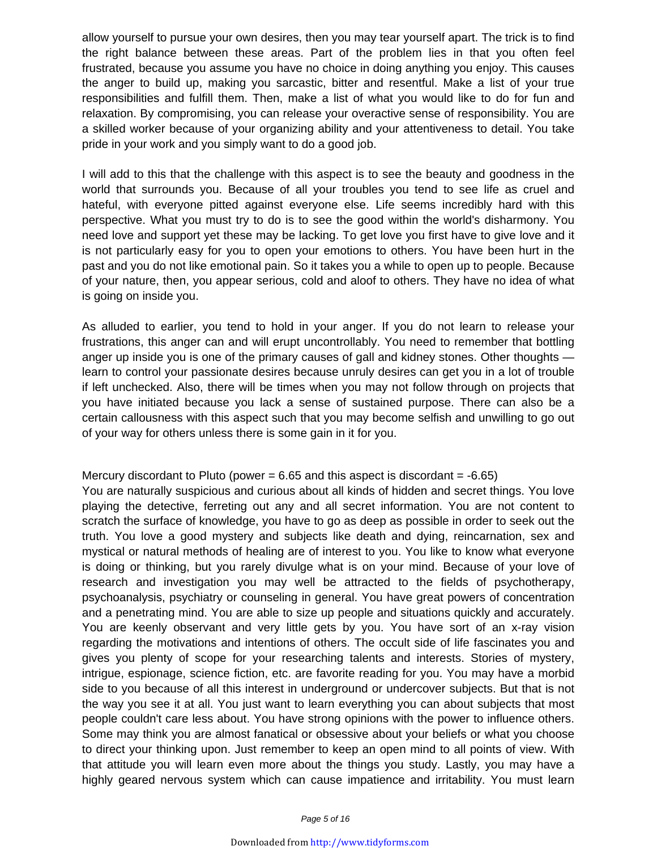allow yourself to pursue your own desires, then you may tear yourself apart. The trick is to find the right balance between these areas. Part of the problem lies in that you often feel frustrated, because you assume you have no choice in doing anything you enjoy. This causes the anger to build up, making you sarcastic, bitter and resentful. Make a list of your true responsibilities and fulfill them. Then, make a list of what you would like to do for fun and relaxation. By compromising, you can release your overactive sense of responsibility. You are a skilled worker because of your organizing ability and your attentiveness to detail. You take pride in your work and you simply want to do a good job.

I will add to this that the challenge with this aspect is to see the beauty and goodness in the world that surrounds you. Because of all your troubles you tend to see life as cruel and hateful, with everyone pitted against everyone else. Life seems incredibly hard with this perspective. What you must try to do is to see the good within the world's disharmony. You need love and support yet these may be lacking. To get love you first have to give love and it is not particularly easy for you to open your emotions to others. You have been hurt in the past and you do not like emotional pain. So it takes you a while to open up to people. Because of your nature, then, you appear serious, cold and aloof to others. They have no idea of what is going on inside you.

As alluded to earlier, you tend to hold in your anger. If you do not learn to release your frustrations, this anger can and will erupt uncontrollably. You need to remember that bottling anger up inside you is one of the primary causes of gall and kidney stones. Other thoughts learn to control your passionate desires because unruly desires can get you in a lot of trouble if left unchecked. Also, there will be times when you may not follow through on projects that you have initiated because you lack a sense of sustained purpose. There can also be a certain callousness with this aspect such that you may become selfish and unwilling to go out of your way for others unless there is some gain in it for you.

#### Mercury discordant to Pluto (power  $= 6.65$  and this aspect is discordant  $= -6.65$ )

You are naturally suspicious and curious about all kinds of hidden and secret things. You love playing the detective, ferreting out any and all secret information. You are not content to scratch the surface of knowledge, you have to go as deep as possible in order to seek out the truth. You love a good mystery and subjects like death and dying, reincarnation, sex and mystical or natural methods of healing are of interest to you. You like to know what everyone is doing or thinking, but you rarely divulge what is on your mind. Because of your love of research and investigation you may well be attracted to the fields of psychotherapy, psychoanalysis, psychiatry or counseling in general. You have great powers of concentration and a penetrating mind. You are able to size up people and situations quickly and accurately. You are keenly observant and very little gets by you. You have sort of an x-ray vision regarding the motivations and intentions of others. The occult side of life fascinates you and gives you plenty of scope for your researching talents and interests. Stories of mystery, intrigue, espionage, science fiction, etc. are favorite reading for you. You may have a morbid side to you because of all this interest in underground or undercover subjects. But that is not the way you see it at all. You just want to learn everything you can about subjects that most people couldn't care less about. You have strong opinions with the power to influence others. Some may think you are almost fanatical or obsessive about your beliefs or what you choose to direct your thinking upon. Just remember to keep an open mind to all points of view. With that attitude you will learn even more about the things you study. Lastly, you may have a highly geared nervous system which can cause impatience and irritability. You must learn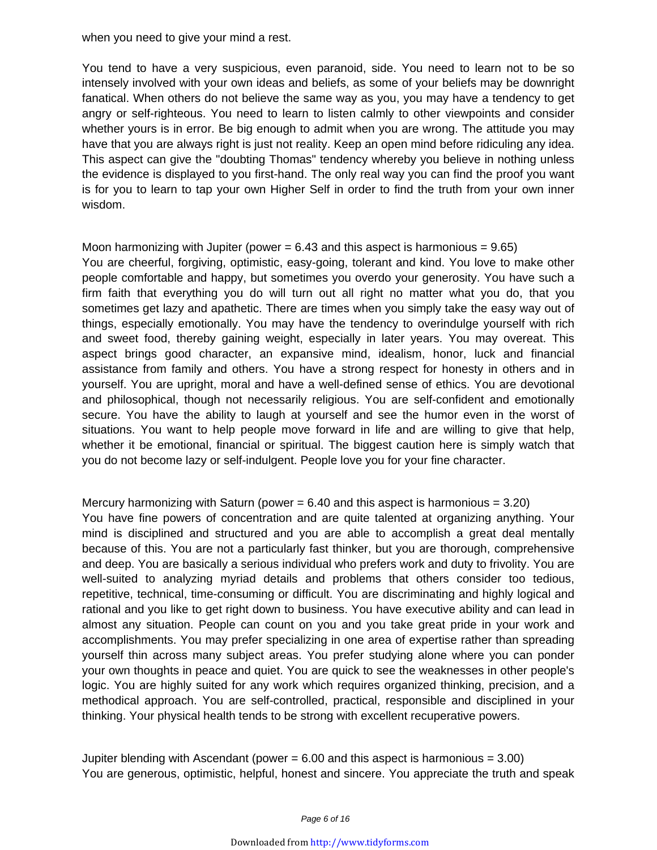when you need to give your mind a rest.

You tend to have a very suspicious, even paranoid, side. You need to learn not to be so intensely involved with your own ideas and beliefs, as some of your beliefs may be downright fanatical. When others do not believe the same way as you, you may have a tendency to get angry or self-righteous. You need to learn to listen calmly to other viewpoints and consider whether yours is in error. Be big enough to admit when you are wrong. The attitude you may have that you are always right is just not reality. Keep an open mind before ridiculing any idea. This aspect can give the "doubting Thomas" tendency whereby you believe in nothing unless the evidence is displayed to you first-hand. The only real way you can find the proof you want is for you to learn to tap your own Higher Self in order to find the truth from your own inner wisdom.

#### Moon harmonizing with Jupiter (power  $= 6.43$  and this aspect is harmonious  $= 9.65$ ) You are cheerful, forgiving, optimistic, easy-going, tolerant and kind. You love to make other

people comfortable and happy, but sometimes you overdo your generosity. You have such a firm faith that everything you do will turn out all right no matter what you do, that you sometimes get lazy and apathetic. There are times when you simply take the easy way out of things, especially emotionally. You may have the tendency to overindulge yourself with rich and sweet food, thereby gaining weight, especially in later years. You may overeat. This aspect brings good character, an expansive mind, idealism, honor, luck and financial assistance from family and others. You have a strong respect for honesty in others and in yourself. You are upright, moral and have a well-defined sense of ethics. You are devotional and philosophical, though not necessarily religious. You are self-confident and emotionally secure. You have the ability to laugh at yourself and see the humor even in the worst of situations. You want to help people move forward in life and are willing to give that help, whether it be emotional, financial or spiritual. The biggest caution here is simply watch that you do not become lazy or self-indulgent. People love you for your fine character.

Mercury harmonizing with Saturn (power  $= 6.40$  and this aspect is harmonious  $= 3.20$ ) You have fine powers of concentration and are quite talented at organizing anything. Your mind is disciplined and structured and you are able to accomplish a great deal mentally because of this. You are not a particularly fast thinker, but you are thorough, comprehensive and deep. You are basically a serious individual who prefers work and duty to frivolity. You are well-suited to analyzing myriad details and problems that others consider too tedious, repetitive, technical, time-consuming or difficult. You are discriminating and highly logical and rational and you like to get right down to business. You have executive ability and can lead in almost any situation. People can count on you and you take great pride in your work and accomplishments. You may prefer specializing in one area of expertise rather than spreading yourself thin across many subject areas. You prefer studying alone where you can ponder your own thoughts in peace and quiet. You are quick to see the weaknesses in other people's logic. You are highly suited for any work which requires organized thinking, precision, and a methodical approach. You are self-controlled, practical, responsible and disciplined in your thinking. Your physical health tends to be strong with excellent recuperative powers.

Jupiter blending with Ascendant (power  $= 6.00$  and this aspect is harmonious  $= 3.00$ ) You are generous, optimistic, helpful, honest and sincere. You appreciate the truth and speak

Page 6 of 16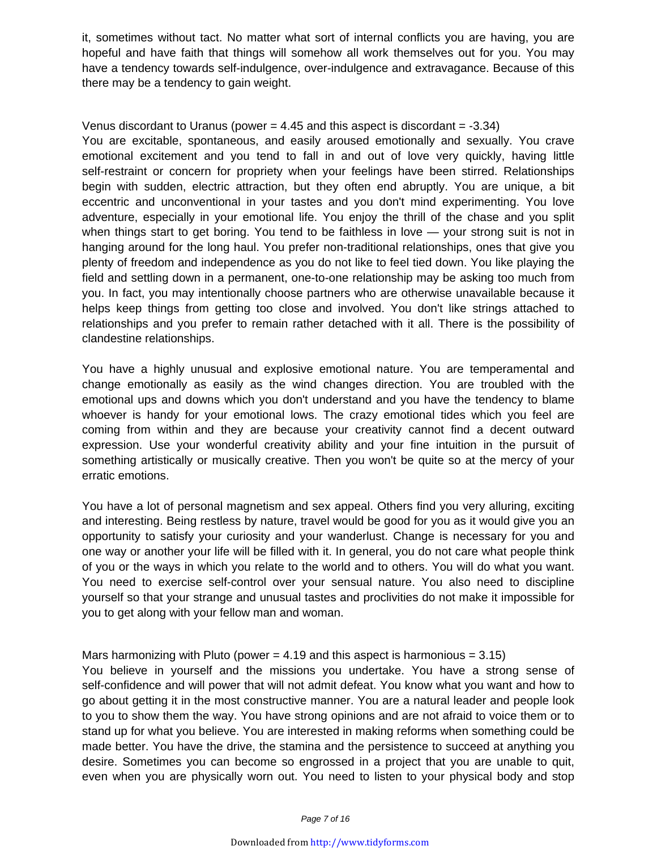it, sometimes without tact. No matter what sort of internal conflicts you are having, you are hopeful and have faith that things will somehow all work themselves out for you. You may have a tendency towards self-indulgence, over-indulgence and extravagance. Because of this there may be a tendency to gain weight.

#### Venus discordant to Uranus (power  $= 4.45$  and this aspect is discordant  $= -3.34$ )

You are excitable, spontaneous, and easily aroused emotionally and sexually. You crave emotional excitement and you tend to fall in and out of love very quickly, having little self-restraint or concern for propriety when your feelings have been stirred. Relationships begin with sudden, electric attraction, but they often end abruptly. You are unique, a bit eccentric and unconventional in your tastes and you don't mind experimenting. You love adventure, especially in your emotional life. You enjoy the thrill of the chase and you split when things start to get boring. You tend to be faithless in love — your strong suit is not in hanging around for the long haul. You prefer non-traditional relationships, ones that give you plenty of freedom and independence as you do not like to feel tied down. You like playing the field and settling down in a permanent, one-to-one relationship may be asking too much from you. In fact, you may intentionally choose partners who are otherwise unavailable because it helps keep things from getting too close and involved. You don't like strings attached to relationships and you prefer to remain rather detached with it all. There is the possibility of clandestine relationships.

You have a highly unusual and explosive emotional nature. You are temperamental and change emotionally as easily as the wind changes direction. You are troubled with the emotional ups and downs which you don't understand and you have the tendency to blame whoever is handy for your emotional lows. The crazy emotional tides which you feel are coming from within and they are because your creativity cannot find a decent outward expression. Use your wonderful creativity ability and your fine intuition in the pursuit of something artistically or musically creative. Then you won't be quite so at the mercy of your erratic emotions.

You have a lot of personal magnetism and sex appeal. Others find you very alluring, exciting and interesting. Being restless by nature, travel would be good for you as it would give you an opportunity to satisfy your curiosity and your wanderlust. Change is necessary for you and one way or another your life will be filled with it. In general, you do not care what people think of you or the ways in which you relate to the world and to others. You will do what you want. You need to exercise self-control over your sensual nature. You also need to discipline yourself so that your strange and unusual tastes and proclivities do not make it impossible for you to get along with your fellow man and woman.

#### Mars harmonizing with Pluto (power  $= 4.19$  and this aspect is harmonious  $= 3.15$ )

You believe in yourself and the missions you undertake. You have a strong sense of self-confidence and will power that will not admit defeat. You know what you want and how to go about getting it in the most constructive manner. You are a natural leader and people look to you to show them the way. You have strong opinions and are not afraid to voice them or to stand up for what you believe. You are interested in making reforms when something could be made better. You have the drive, the stamina and the persistence to succeed at anything you desire. Sometimes you can become so engrossed in a project that you are unable to quit, even when you are physically worn out. You need to listen to your physical body and stop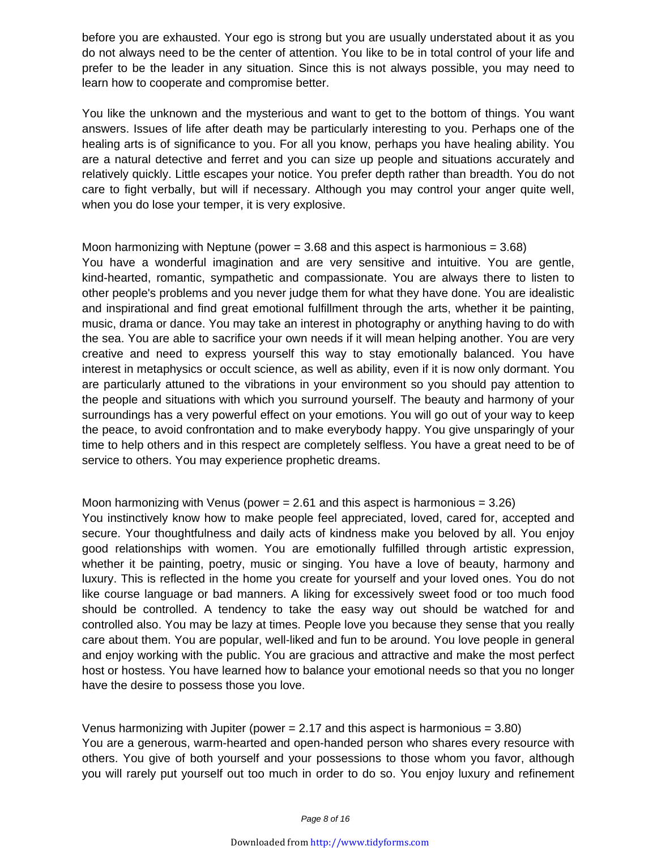before you are exhausted. Your ego is strong but you are usually understated about it as you do not always need to be the center of attention. You like to be in total control of your life and prefer to be the leader in any situation. Since this is not always possible, you may need to learn how to cooperate and compromise better.

You like the unknown and the mysterious and want to get to the bottom of things. You want answers. Issues of life after death may be particularly interesting to you. Perhaps one of the healing arts is of significance to you. For all you know, perhaps you have healing ability. You are a natural detective and ferret and you can size up people and situations accurately and relatively quickly. Little escapes your notice. You prefer depth rather than breadth. You do not care to fight verbally, but will if necessary. Although you may control your anger quite well, when you do lose your temper, it is very explosive.

Moon harmonizing with Neptune (power  $= 3.68$  and this aspect is harmonious  $= 3.68$ ) You have a wonderful imagination and are very sensitive and intuitive. You are gentle, kind-hearted, romantic, sympathetic and compassionate. You are always there to listen to other people's problems and you never judge them for what they have done. You are idealistic and inspirational and find great emotional fulfillment through the arts, whether it be painting, music, drama or dance. You may take an interest in photography or anything having to do with the sea. You are able to sacrifice your own needs if it will mean helping another. You are very creative and need to express yourself this way to stay emotionally balanced. You have interest in metaphysics or occult science, as well as ability, even if it is now only dormant. You are particularly attuned to the vibrations in your environment so you should pay attention to the people and situations with which you surround yourself. The beauty and harmony of your surroundings has a very powerful effect on your emotions. You will go out of your way to keep the peace, to avoid confrontation and to make everybody happy. You give unsparingly of your time to help others and in this respect are completely selfless. You have a great need to be of service to others. You may experience prophetic dreams.

Moon harmonizing with Venus (power  $= 2.61$  and this aspect is harmonious  $= 3.26$ ) You instinctively know how to make people feel appreciated, loved, cared for, accepted and secure. Your thoughtfulness and daily acts of kindness make you beloved by all. You enjoy good relationships with women. You are emotionally fulfilled through artistic expression, whether it be painting, poetry, music or singing. You have a love of beauty, harmony and luxury. This is reflected in the home you create for yourself and your loved ones. You do not like course language or bad manners. A liking for excessively sweet food or too much food should be controlled. A tendency to take the easy way out should be watched for and controlled also. You may be lazy at times. People love you because they sense that you really care about them. You are popular, well-liked and fun to be around. You love people in general and enjoy working with the public. You are gracious and attractive and make the most perfect host or hostess. You have learned how to balance your emotional needs so that you no longer have the desire to possess those you love.

Venus harmonizing with Jupiter (power  $= 2.17$  and this aspect is harmonious  $= 3.80$ ) You are a generous, warm-hearted and open-handed person who shares every resource with others. You give of both yourself and your possessions to those whom you favor, although you will rarely put yourself out too much in order to do so. You enjoy luxury and refinement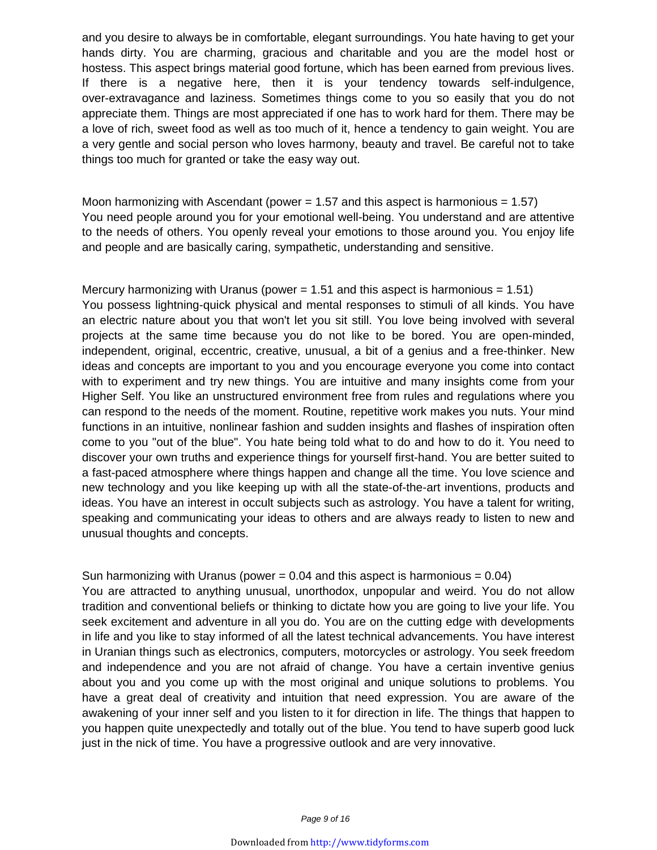and you desire to always be in comfortable, elegant surroundings. You hate having to get your hands dirty. You are charming, gracious and charitable and you are the model host or hostess. This aspect brings material good fortune, which has been earned from previous lives. If there is a negative here, then it is your tendency towards self-indulgence, over-extravagance and laziness. Sometimes things come to you so easily that you do not appreciate them. Things are most appreciated if one has to work hard for them. There may be a love of rich, sweet food as well as too much of it, hence a tendency to gain weight. You are a very gentle and social person who loves harmony, beauty and travel. Be careful not to take things too much for granted or take the easy way out.

Moon harmonizing with Ascendant (power  $= 1.57$  and this aspect is harmonious  $= 1.57$ ) You need people around you for your emotional well-being. You understand and are attentive to the needs of others. You openly reveal your emotions to those around you. You enjoy life and people and are basically caring, sympathetic, understanding and sensitive.

Mercury harmonizing with Uranus (power  $= 1.51$  and this aspect is harmonious  $= 1.51$ ) You possess lightning-quick physical and mental responses to stimuli of all kinds. You have an electric nature about you that won't let you sit still. You love being involved with several projects at the same time because you do not like to be bored. You are open-minded, independent, original, eccentric, creative, unusual, a bit of a genius and a free-thinker. New ideas and concepts are important to you and you encourage everyone you come into contact with to experiment and try new things. You are intuitive and many insights come from your Higher Self. You like an unstructured environment free from rules and regulations where you can respond to the needs of the moment. Routine, repetitive work makes you nuts. Your mind functions in an intuitive, nonlinear fashion and sudden insights and flashes of inspiration often come to you "out of the blue". You hate being told what to do and how to do it. You need to discover your own truths and experience things for yourself first-hand. You are better suited to a fast-paced atmosphere where things happen and change all the time. You love science and new technology and you like keeping up with all the state-of-the-art inventions, products and ideas. You have an interest in occult subjects such as astrology. You have a talent for writing, speaking and communicating your ideas to others and are always ready to listen to new and unusual thoughts and concepts.

#### Sun harmonizing with Uranus (power  $= 0.04$  and this aspect is harmonious  $= 0.04$ )

You are attracted to anything unusual, unorthodox, unpopular and weird. You do not allow tradition and conventional beliefs or thinking to dictate how you are going to live your life. You seek excitement and adventure in all you do. You are on the cutting edge with developments in life and you like to stay informed of all the latest technical advancements. You have interest in Uranian things such as electronics, computers, motorcycles or astrology. You seek freedom and independence and you are not afraid of change. You have a certain inventive genius about you and you come up with the most original and unique solutions to problems. You have a great deal of creativity and intuition that need expression. You are aware of the awakening of your inner self and you listen to it for direction in life. The things that happen to you happen quite unexpectedly and totally out of the blue. You tend to have superb good luck just in the nick of time. You have a progressive outlook and are very innovative.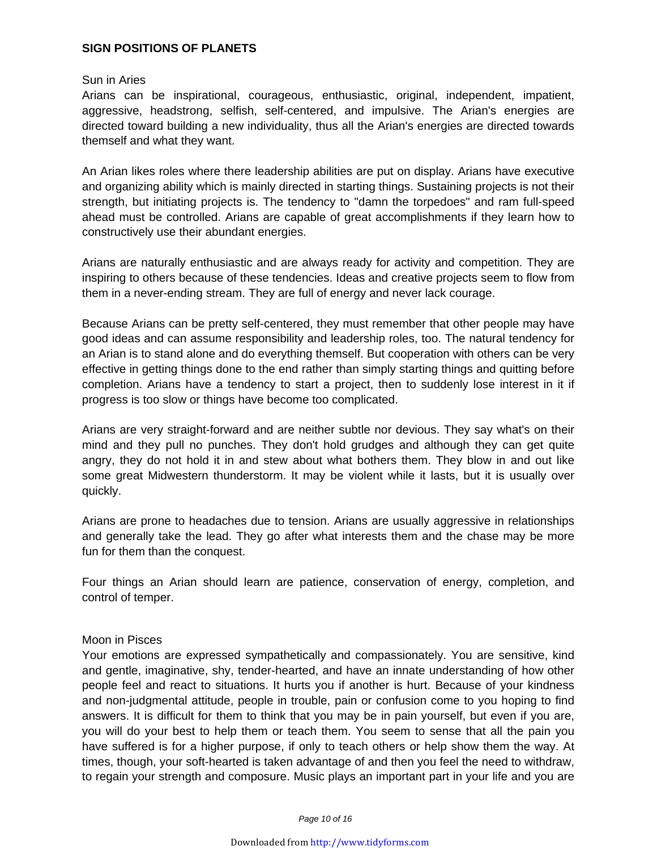#### **SIGN POSITIONS OF PLANETS**

#### Sun in Aries

Arians can be inspirational, courageous, enthusiastic, original, independent, impatient, aggressive, headstrong, selfish, self-centered, and impulsive. The Arian's energies are directed toward building a new individuality, thus all the Arian's energies are directed towards themself and what they want.

An Arian likes roles where there leadership abilities are put on display. Arians have executive and organizing ability which is mainly directed in starting things. Sustaining projects is not their strength, but initiating projects is. The tendency to "damn the torpedoes" and ram full-speed ahead must be controlled. Arians are capable of great accomplishments if they learn how to constructively use their abundant energies.

Arians are naturally enthusiastic and are always ready for activity and competition. They are inspiring to others because of these tendencies. Ideas and creative projects seem to flow from them in a never-ending stream. They are full of energy and never lack courage.

Because Arians can be pretty self-centered, they must remember that other people may have good ideas and can assume responsibility and leadership roles, too. The natural tendency for an Arian is to stand alone and do everything themself. But cooperation with others can be very effective in getting things done to the end rather than simply starting things and quitting before completion. Arians have a tendency to start a project, then to suddenly lose interest in it if progress is too slow or things have become too complicated.

Arians are very straight-forward and are neither subtle nor devious. They say what's on their mind and they pull no punches. They don't hold grudges and although they can get quite angry, they do not hold it in and stew about what bothers them. They blow in and out like some great Midwestern thunderstorm. It may be violent while it lasts, but it is usually over quickly.

Arians are prone to headaches due to tension. Arians are usually aggressive in relationships and generally take the lead. They go after what interests them and the chase may be more fun for them than the conquest.

Four things an Arian should learn are patience, conservation of energy, completion, and control of temper.

#### Moon in Pisces

Your emotions are expressed sympathetically and compassionately. You are sensitive, kind and gentle, imaginative, shy, tender-hearted, and have an innate understanding of how other people feel and react to situations. It hurts you if another is hurt. Because of your kindness and non-judgmental attitude, people in trouble, pain or confusion come to you hoping to find answers. It is difficult for them to think that you may be in pain yourself, but even if you are, you will do your best to help them or teach them. You seem to sense that all the pain you have suffered is for a higher purpose, if only to teach others or help show them the way. At times, though, your soft-hearted is taken advantage of and then you feel the need to withdraw, to regain your strength and composure. Music plays an important part in your life and you are

Page 10 of 16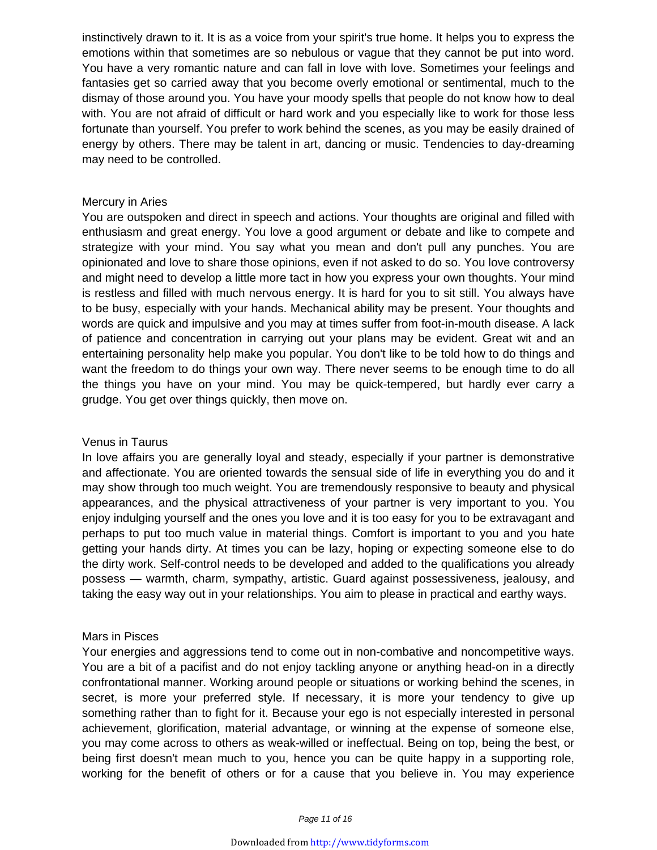instinctively drawn to it. It is as a voice from your spirit's true home. It helps you to express the emotions within that sometimes are so nebulous or vague that they cannot be put into word. You have a very romantic nature and can fall in love with love. Sometimes your feelings and fantasies get so carried away that you become overly emotional or sentimental, much to the dismay of those around you. You have your moody spells that people do not know how to deal with. You are not afraid of difficult or hard work and you especially like to work for those less fortunate than yourself. You prefer to work behind the scenes, as you may be easily drained of energy by others. There may be talent in art, dancing or music. Tendencies to day-dreaming may need to be controlled.

#### Mercury in Aries

You are outspoken and direct in speech and actions. Your thoughts are original and filled with enthusiasm and great energy. You love a good argument or debate and like to compete and strategize with your mind. You say what you mean and don't pull any punches. You are opinionated and love to share those opinions, even if not asked to do so. You love controversy and might need to develop a little more tact in how you express your own thoughts. Your mind is restless and filled with much nervous energy. It is hard for you to sit still. You always have to be busy, especially with your hands. Mechanical ability may be present. Your thoughts and words are quick and impulsive and you may at times suffer from foot-in-mouth disease. A lack of patience and concentration in carrying out your plans may be evident. Great wit and an entertaining personality help make you popular. You don't like to be told how to do things and want the freedom to do things your own way. There never seems to be enough time to do all the things you have on your mind. You may be quick-tempered, but hardly ever carry a grudge. You get over things quickly, then move on.

#### Venus in Taurus

In love affairs you are generally loyal and steady, especially if your partner is demonstrative and affectionate. You are oriented towards the sensual side of life in everything you do and it may show through too much weight. You are tremendously responsive to beauty and physical appearances, and the physical attractiveness of your partner is very important to you. You enjoy indulging yourself and the ones you love and it is too easy for you to be extravagant and perhaps to put too much value in material things. Comfort is important to you and you hate getting your hands dirty. At times you can be lazy, hoping or expecting someone else to do the dirty work. Self-control needs to be developed and added to the qualifications you already possess — warmth, charm, sympathy, artistic. Guard against possessiveness, jealousy, and taking the easy way out in your relationships. You aim to please in practical and earthy ways.

#### Mars in Pisces

Your energies and aggressions tend to come out in non-combative and noncompetitive ways. You are a bit of a pacifist and do not enjoy tackling anyone or anything head-on in a directly confrontational manner. Working around people or situations or working behind the scenes, in secret, is more your preferred style. If necessary, it is more your tendency to give up something rather than to fight for it. Because your ego is not especially interested in personal achievement, glorification, material advantage, or winning at the expense of someone else, you may come across to others as weak-willed or ineffectual. Being on top, being the best, or being first doesn't mean much to you, hence you can be quite happy in a supporting role, working for the benefit of others or for a cause that you believe in. You may experience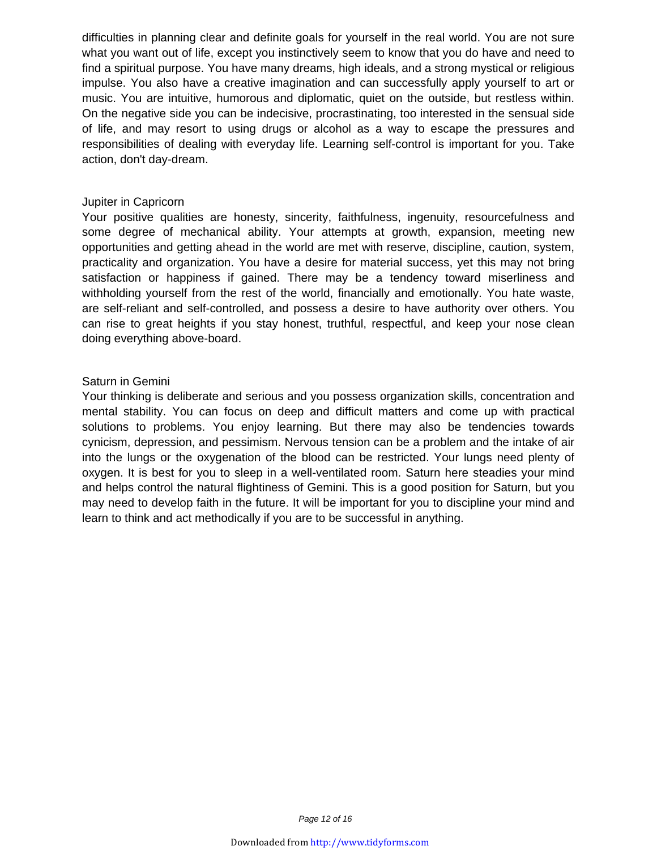difficulties in planning clear and definite goals for yourself in the real world. You are not sure what you want out of life, except you instinctively seem to know that you do have and need to find a spiritual purpose. You have many dreams, high ideals, and a strong mystical or religious impulse. You also have a creative imagination and can successfully apply yourself to art or music. You are intuitive, humorous and diplomatic, quiet on the outside, but restless within. On the negative side you can be indecisive, procrastinating, too interested in the sensual side of life, and may resort to using drugs or alcohol as a way to escape the pressures and responsibilities of dealing with everyday life. Learning self-control is important for you. Take action, don't day-dream.

#### Jupiter in Capricorn

Your positive qualities are honesty, sincerity, faithfulness, ingenuity, resourcefulness and some degree of mechanical ability. Your attempts at growth, expansion, meeting new opportunities and getting ahead in the world are met with reserve, discipline, caution, system, practicality and organization. You have a desire for material success, yet this may not bring satisfaction or happiness if gained. There may be a tendency toward miserliness and withholding yourself from the rest of the world, financially and emotionally. You hate waste, are self-reliant and self-controlled, and possess a desire to have authority over others. You can rise to great heights if you stay honest, truthful, respectful, and keep your nose clean doing everything above-board.

#### Saturn in Gemini

Your thinking is deliberate and serious and you possess organization skills, concentration and mental stability. You can focus on deep and difficult matters and come up with practical solutions to problems. You enjoy learning. But there may also be tendencies towards cynicism, depression, and pessimism. Nervous tension can be a problem and the intake of air into the lungs or the oxygenation of the blood can be restricted. Your lungs need plenty of oxygen. It is best for you to sleep in a well-ventilated room. Saturn here steadies your mind and helps control the natural flightiness of Gemini. This is a good position for Saturn, but you may need to develop faith in the future. It will be important for you to discipline your mind and learn to think and act methodically if you are to be successful in anything.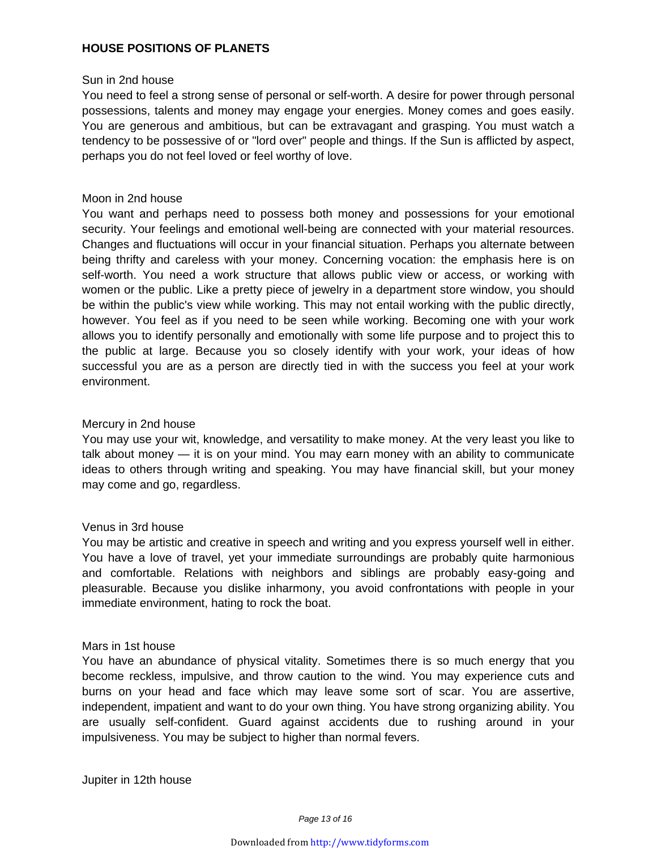#### **HOUSE POSITIONS OF PLANETS**

#### Sun in 2nd house

You need to feel a strong sense of personal or self-worth. A desire for power through personal possessions, talents and money may engage your energies. Money comes and goes easily. You are generous and ambitious, but can be extravagant and grasping. You must watch a tendency to be possessive of or "lord over" people and things. If the Sun is afflicted by aspect, perhaps you do not feel loved or feel worthy of love.

#### Moon in 2nd house

You want and perhaps need to possess both money and possessions for your emotional security. Your feelings and emotional well-being are connected with your material resources. Changes and fluctuations will occur in your financial situation. Perhaps you alternate between being thrifty and careless with your money. Concerning vocation: the emphasis here is on self-worth. You need a work structure that allows public view or access, or working with women or the public. Like a pretty piece of jewelry in a department store window, you should be within the public's view while working. This may not entail working with the public directly, however. You feel as if you need to be seen while working. Becoming one with your work allows you to identify personally and emotionally with some life purpose and to project this to the public at large. Because you so closely identify with your work, your ideas of how successful you are as a person are directly tied in with the success you feel at your work environment.

#### Mercury in 2nd house

You may use your wit, knowledge, and versatility to make money. At the very least you like to talk about money — it is on your mind. You may earn money with an ability to communicate ideas to others through writing and speaking. You may have financial skill, but your money may come and go, regardless.

#### Venus in 3rd house

You may be artistic and creative in speech and writing and you express yourself well in either. You have a love of travel, yet your immediate surroundings are probably quite harmonious and comfortable. Relations with neighbors and siblings are probably easy-going and pleasurable. Because you dislike inharmony, you avoid confrontations with people in your immediate environment, hating to rock the boat.

#### Mars in 1st house

You have an abundance of physical vitality. Sometimes there is so much energy that you become reckless, impulsive, and throw caution to the wind. You may experience cuts and burns on your head and face which may leave some sort of scar. You are assertive, independent, impatient and want to do your own thing. You have strong organizing ability. You are usually self-confident. Guard against accidents due to rushing around in your impulsiveness. You may be subject to higher than normal fevers.

Jupiter in 12th house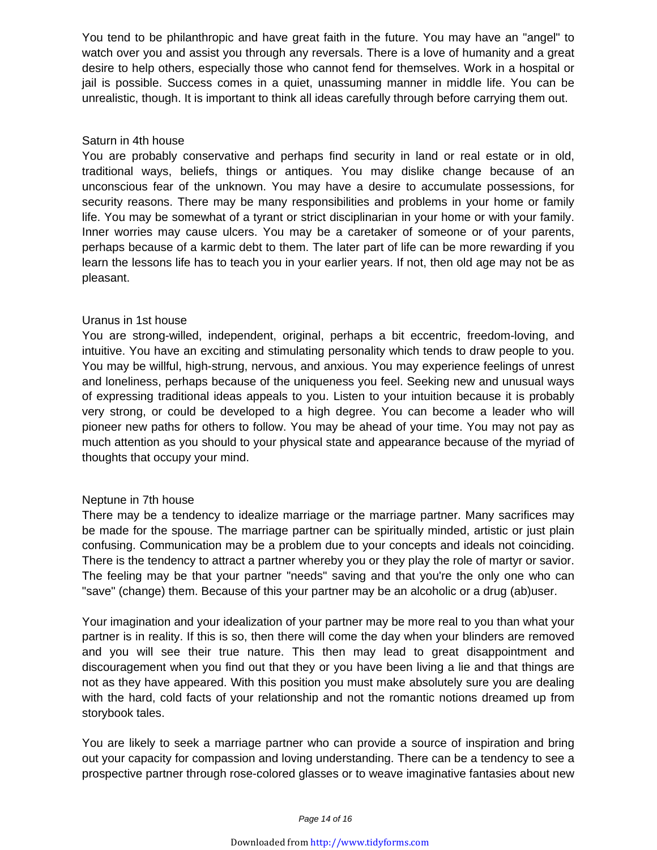You tend to be philanthropic and have great faith in the future. You may have an "angel" to watch over you and assist you through any reversals. There is a love of humanity and a great desire to help others, especially those who cannot fend for themselves. Work in a hospital or jail is possible. Success comes in a quiet, unassuming manner in middle life. You can be unrealistic, though. It is important to think all ideas carefully through before carrying them out.

#### Saturn in 4th house

You are probably conservative and perhaps find security in land or real estate or in old, traditional ways, beliefs, things or antiques. You may dislike change because of an unconscious fear of the unknown. You may have a desire to accumulate possessions, for security reasons. There may be many responsibilities and problems in your home or family life. You may be somewhat of a tyrant or strict disciplinarian in your home or with your family. Inner worries may cause ulcers. You may be a caretaker of someone or of your parents, perhaps because of a karmic debt to them. The later part of life can be more rewarding if you learn the lessons life has to teach you in your earlier years. If not, then old age may not be as pleasant.

#### Uranus in 1st house

You are strong-willed, independent, original, perhaps a bit eccentric, freedom-loving, and intuitive. You have an exciting and stimulating personality which tends to draw people to you. You may be willful, high-strung, nervous, and anxious. You may experience feelings of unrest and loneliness, perhaps because of the uniqueness you feel. Seeking new and unusual ways of expressing traditional ideas appeals to you. Listen to your intuition because it is probably very strong, or could be developed to a high degree. You can become a leader who will pioneer new paths for others to follow. You may be ahead of your time. You may not pay as much attention as you should to your physical state and appearance because of the myriad of thoughts that occupy your mind.

#### Neptune in 7th house

There may be a tendency to idealize marriage or the marriage partner. Many sacrifices may be made for the spouse. The marriage partner can be spiritually minded, artistic or just plain confusing. Communication may be a problem due to your concepts and ideals not coinciding. There is the tendency to attract a partner whereby you or they play the role of martyr or savior. The feeling may be that your partner "needs" saving and that you're the only one who can "save" (change) them. Because of this your partner may be an alcoholic or a drug (ab)user.

Your imagination and your idealization of your partner may be more real to you than what your partner is in reality. If this is so, then there will come the day when your blinders are removed and you will see their true nature. This then may lead to great disappointment and discouragement when you find out that they or you have been living a lie and that things are not as they have appeared. With this position you must make absolutely sure you are dealing with the hard, cold facts of your relationship and not the romantic notions dreamed up from storybook tales.

You are likely to seek a marriage partner who can provide a source of inspiration and bring out your capacity for compassion and loving understanding. There can be a tendency to see a prospective partner through rose-colored glasses or to weave imaginative fantasies about new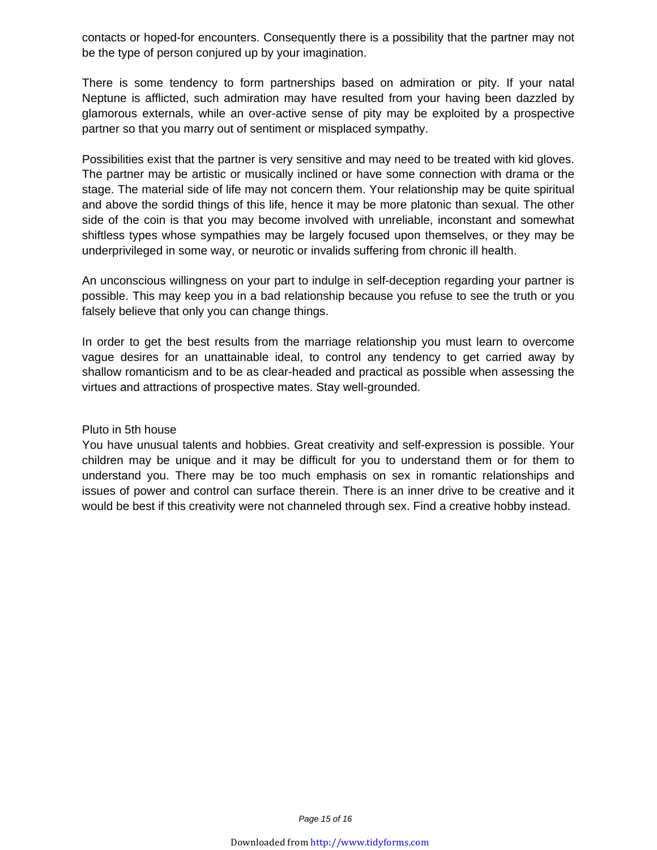contacts or hoped-for encounters. Consequently there is a possibility that the partner may not be the type of person conjured up by your imagination.

There is some tendency to form partnerships based on admiration or pity. If your natal Neptune is afflicted, such admiration may have resulted from your having been dazzled by glamorous externals, while an over-active sense of pity may be exploited by a prospective partner so that you marry out of sentiment or misplaced sympathy.

Possibilities exist that the partner is very sensitive and may need to be treated with kid gloves. The partner may be artistic or musically inclined or have some connection with drama or the stage. The material side of life may not concern them. Your relationship may be quite spiritual and above the sordid things of this life, hence it may be more platonic than sexual. The other side of the coin is that you may become involved with unreliable, inconstant and somewhat shiftless types whose sympathies may be largely focused upon themselves, or they may be underprivileged in some way, or neurotic or invalids suffering from chronic ill health.

An unconscious willingness on your part to indulge in self-deception regarding your partner is possible. This may keep you in a bad relationship because you refuse to see the truth or you falsely believe that only you can change things.

In order to get the best results from the marriage relationship you must learn to overcome vague desires for an unattainable ideal, to control any tendency to get carried away by shallow romanticism and to be as clear-headed and practical as possible when assessing the virtues and attractions of prospective mates. Stay well-grounded.

#### Pluto in 5th house

You have unusual talents and hobbies. Great creativity and self-expression is possible. Your children may be unique and it may be difficult for you to understand them or for them to understand you. There may be too much emphasis on sex in romantic relationships and issues of power and control can surface therein. There is an inner drive to be creative and it would be best if this creativity were not channeled through sex. Find a creative hobby instead.